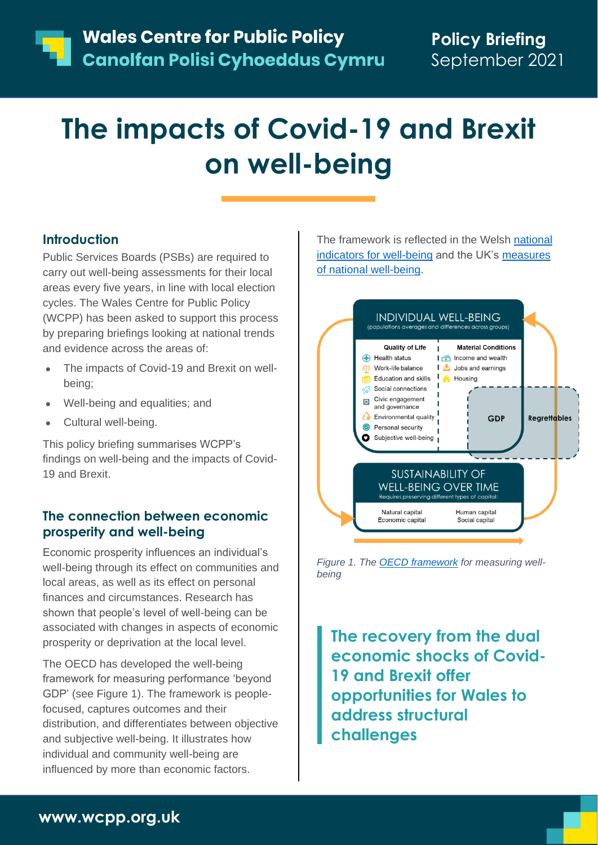# **The impacts of Covid-19 and Brexit on well-being**

## **Introduction**

Public Services Boards (PSBs) are required to carry out well-being assessments for their local areas every five years, in line with local election cycles. The Wales Centre for Public Policy (WCPP) has been asked to support this process by preparing briefings looking at national trends and evidence across the areas of:

- The impacts of Covid-19 and Brexit on wellbeing;
- Well-being and equalities; and
- Cultural well-being.

This policy briefing summarises WCPP's findings on well-being and the impacts of Covid-19 and Brexit.

### **The connection between economic prosperity and well-being**

Economic prosperity influences an individual's well-being through its effect on communities and local areas, as well as its effect on personal finances and circumstances. Research has shown that people's level of well-being can be associated with changes in aspects of economic prosperity or deprivation at the local level.

The OECD has developed the well-being framework for measuring performance 'beyond GDP' (see Figure 1). The framework is peoplefocused, captures outcomes and their distribution, and differentiates between objective and subjective well-being. It illustrates how individual and community well-being are influenced by more than economic factors.

The framework is reflected in the Welsh [national](https://gov.wales/national-wellbeing-indicators)  [indicators for well-being](https://gov.wales/national-wellbeing-indicators) and the UK's [measures](https://www.ons.gov.uk/peoplepopulationandcommunity/wellbeing/articles/measuresofnationalwellbeingdashboard/2018-04-25)  [of national well-being.](https://www.ons.gov.uk/peoplepopulationandcommunity/wellbeing/articles/measuresofnationalwellbeingdashboard/2018-04-25)



*Figure 1. The [OECD framework](https://www.oecd.org/officialdocuments/publicdisplaydocumentpdf/?cote=SDD/DOC(2019)2&docLanguage=En) for measuring wellbeing*

**The recovery from the dual economic shocks of Covid-19 and Brexit offer opportunities for Wales to address structural challenges**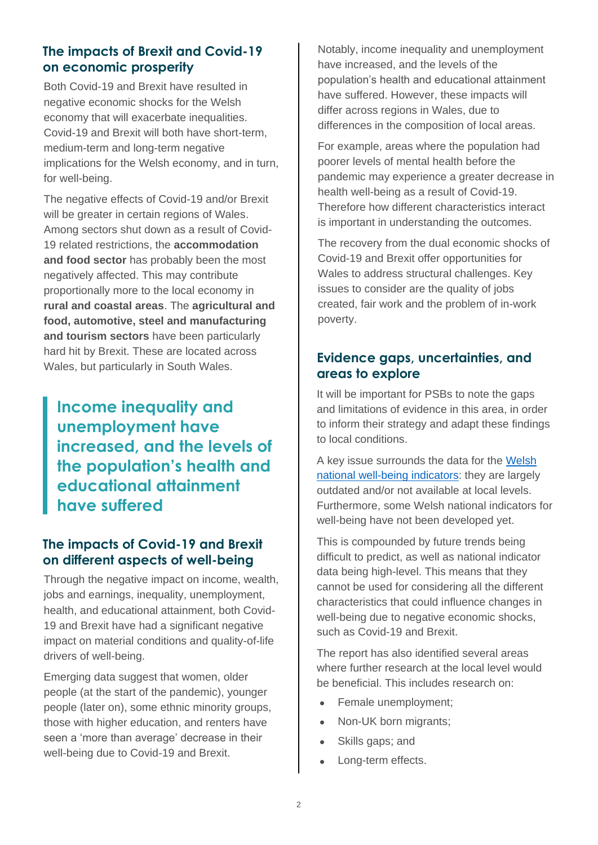## **The impacts of Brexit and Covid-19 on economic prosperity**

Both Covid-19 and Brexit have resulted in negative economic shocks for the Welsh economy that will exacerbate inequalities. Covid-19 and Brexit will both have short-term, medium-term and long-term negative implications for the Welsh economy, and in turn, for well-being.

The negative effects of Covid-19 and/or Brexit will be greater in certain regions of Wales. Among sectors shut down as a result of Covid-19 related restrictions, the **accommodation and food sector** has probably been the most negatively affected. This may contribute proportionally more to the local economy in **rural and coastal areas**. The **agricultural and food, automotive, steel and manufacturing and tourism sectors** have been particularly hard hit by Brexit. These are located across Wales, but particularly in South Wales.

**Income inequality and unemployment have increased, and the levels of the population's health and educational attainment have suffered**

### **The impacts of Covid-19 and Brexit on different aspects of well-being**

Through the negative impact on income, wealth, jobs and earnings, inequality, unemployment, health, and educational attainment, both Covid-19 and Brexit have had a significant negative impact on material conditions and quality-of-life drivers of well-being.

Emerging data suggest that women, older people (at the start of the pandemic), younger people (later on), some ethnic minority groups, those with higher education, and renters have seen a 'more than average' decrease in their well-being due to Covid-19 and Brexit.

Notably, income inequality and unemployment have increased, and the levels of the population's health and educational attainment have suffered. However, these impacts will differ across regions in Wales, due to differences in the composition of local areas.

For example, areas where the population had poorer levels of mental health before the pandemic may experience a greater decrease in health well-being as a result of Covid-19. Therefore how different characteristics interact is important in understanding the outcomes.

The recovery from the dual economic shocks of Covid-19 and Brexit offer opportunities for Wales to address structural challenges. Key issues to consider are the quality of jobs created, fair work and the problem of in-work poverty.

## **Evidence gaps, uncertainties, and areas to explore**

It will be important for PSBs to note the gaps and limitations of evidence in this area, in order to inform their strategy and adapt these findings to local conditions.

A key issue surrounds the data for the [Welsh](https://gov.wales/national-wellbeing-indicators)  [national well-being indicators:](https://gov.wales/national-wellbeing-indicators) they are largely outdated and/or not available at local levels. Furthermore, some Welsh national indicators for well-being have not been developed yet.

This is compounded by future trends being difficult to predict, as well as national indicator data being high-level. This means that they cannot be used for considering all the different characteristics that could influence changes in well-being due to negative economic shocks, such as Covid-19 and Brexit.

The report has also identified several areas where further research at the local level would be beneficial. This includes research on:

- Female unemployment;
- Non-UK born migrants;
- Skills gaps; and
- Long-term effects.